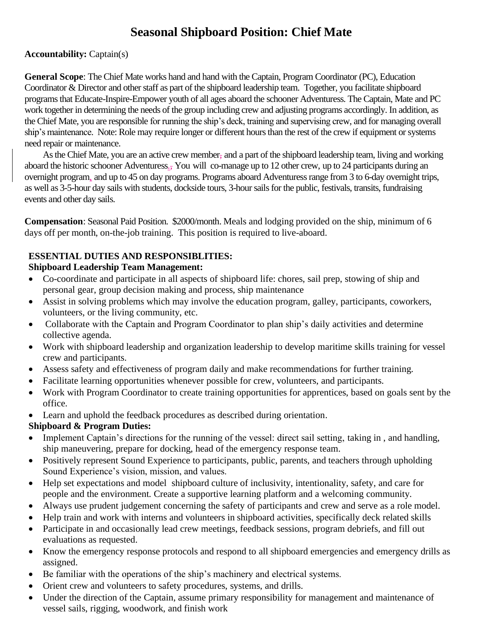# **Seasonal Shipboard Position: Chief Mate**

### **Accountability:** Captain(s)

**General Scope**: The Chief Mate works hand and hand with the Captain, Program Coordinator (PC), Education Coordinator & Director and other staff as part of the shipboard leadership team. Together, you facilitate shipboard programs that Educate-Inspire-Empower youth of all ages aboard the schooner Adventuress. The Captain, Mate and PC work together in determining the needs of the group including crew and adjusting programs accordingly. In addition, as the Chief Mate, you are responsible for running the ship's deck, training and supervising crew, and for managing overall ship's maintenance. Note: Role may require longer or different hours than the rest of the crew if equipment or systems need repair or maintenance.

As the Chief Mate, you are an active crew member, and a part of the shipboard leadership team, living and working aboard the historic schooner Adventuress<sub>5</sub>. You will co-manage up to 12 other crew, up to 24 participants during an overnight program, and up to 45 on day programs. Programs aboard Adventuress range from 3 to 6-day overnight trips, as well as 3-5-hour day sails with students, dockside tours, 3-hour sails for the public, festivals, transits, fundraising events and other day sails.

**Compensation**: Seasonal Paid Position. \$2000/month. Meals and lodging provided on the ship, minimum of 6 days off per month, on-the-job training. This position is required to live-aboard.

# **ESSENTIAL DUTIES AND RESPONSIBLITIES:**

## **Shipboard Leadership Team Management:**

- Co-coordinate and participate in all aspects of shipboard life: chores, sail prep, stowing of ship and personal gear, group decision making and process, ship maintenance
- Assist in solving problems which may involve the education program, galley, participants, coworkers, volunteers, or the living community, etc.
- Collaborate with the Captain and Program Coordinator to plan ship's daily activities and determine collective agenda.
- Work with shipboard leadership and organization leadership to develop maritime skills training for vessel crew and participants.
- Assess safety and effectiveness of program daily and make recommendations for further training.
- Facilitate learning opportunities whenever possible for crew, volunteers, and participants.
- Work with Program Coordinator to create training opportunities for apprentices, based on goals sent by the office.
- Learn and uphold the feedback procedures as described during orientation.

# **Shipboard & Program Duties:**

- Implement Captain's directions for the running of the vessel: direct sail setting, taking in, and handling, ship maneuvering, prepare for docking, head of the emergency response team.
- Positively represent Sound Experience to participants, public, parents, and teachers through upholding Sound Experience's vision, mission, and values.
- Help set expectations and model shipboard culture of inclusivity, intentionality, safety, and care for people and the environment. Create a supportive learning platform and a welcoming community.
- Always use prudent judgement concerning the safety of participants and crew and serve as a role model.
- Help train and work with interns and volunteers in shipboard activities, specifically deck related skills
- Participate in and occasionally lead crew meetings, feedback sessions, program debriefs, and fill out evaluations as requested.
- Know the emergency response protocols and respond to all shipboard emergencies and emergency drills as assigned.
- Be familiar with the operations of the ship's machinery and electrical systems.
- Orient crew and volunteers to safety procedures, systems, and drills.
- Under the direction of the Captain, assume primary responsibility for management and maintenance of vessel sails, rigging, woodwork, and finish work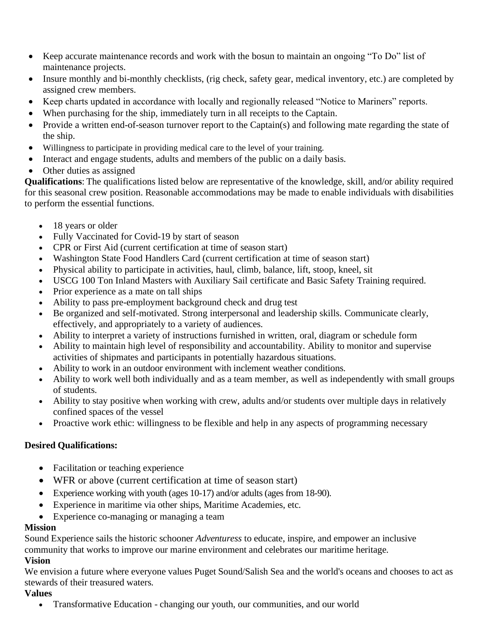- Keep accurate maintenance records and work with the bosun to maintain an ongoing "To Do" list of maintenance projects.
- Insure monthly and bi-monthly checklists, (rig check, safety gear, medical inventory, etc.) are completed by assigned crew members.
- Keep charts updated in accordance with locally and regionally released "Notice to Mariners" reports.
- When purchasing for the ship, immediately turn in all receipts to the Captain.
- Provide a written end-of-season turnover report to the Captain(s) and following mate regarding the state of the ship.
- Willingness to participate in providing medical care to the level of your training.
- Interact and engage students, adults and members of the public on a daily basis.
- Other duties as assigned

**Qualifications**: The qualifications listed below are representative of the knowledge, skill, and/or ability required for this seasonal crew position. Reasonable accommodations may be made to enable individuals with disabilities to perform the essential functions.

- 18 years or older
- Fully Vaccinated for Covid-19 by start of season
- CPR or First Aid (current certification at time of season start)
- Washington State Food Handlers Card (current certification at time of season start)
- Physical ability to participate in activities, haul, climb, balance, lift, stoop, kneel, sit
- USCG 100 Ton Inland Masters with Auxiliary Sail certificate and Basic Safety Training required.
- Prior experience as a mate on tall ships
- Ability to pass pre-employment background check and drug test
- Be organized and self-motivated. Strong interpersonal and leadership skills. Communicate clearly, effectively, and appropriately to a variety of audiences.
- Ability to interpret a variety of instructions furnished in written, oral, diagram or schedule form
- Ability to maintain high level of responsibility and accountability. Ability to monitor and supervise activities of shipmates and participants in potentially hazardous situations.
- Ability to work in an outdoor environment with inclement weather conditions.
- Ability to work well both individually and as a team member, as well as independently with small groups of students.
- Ability to stay positive when working with crew, adults and/or students over multiple days in relatively confined spaces of the vessel
- Proactive work ethic: willingness to be flexible and help in any aspects of programming necessary

## **Desired Qualifications:**

- Facilitation or teaching experience
- WFR or above (current certification at time of season start)
- Experience working with youth (ages 10-17) and/or adults (ages from 18-90).
- Experience in maritime via other ships, Maritime Academies, etc.
- Experience co-managing or managing a team

#### **Mission**

Sound Experience sails the historic schooner *Adventuress* to educate, inspire, and empower an inclusive community that works to improve our marine environment and celebrates our maritime heritage.

## **Vision**

We envision a future where everyone values Puget Sound/Salish Sea and the world's oceans and chooses to act as stewards of their treasured waters.

#### **Values**

• Transformative Education - changing our youth, our communities, and our world